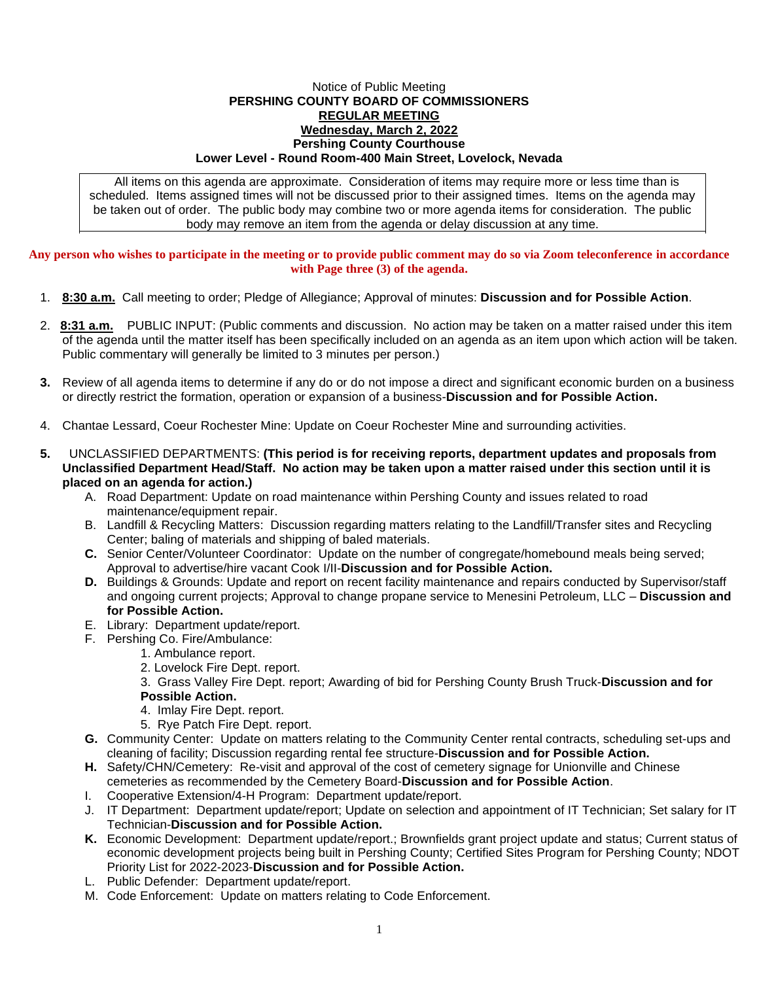## Notice of Public Meeting **PERSHING COUNTY BOARD OF COMMISSIONERS REGULAR MEETING Wednesday, March 2, 2022 Pershing County Courthouse Lower Level - Round Room-400 Main Street, Lovelock, Nevada**

All items on this agenda are approximate. Consideration of items may require more or less time than is scheduled. Items assigned times will not be discussed prior to their assigned times. Items on the agenda may be taken out of order. The public body may combine two or more agenda items for consideration. The public body may remove an item from the agenda or delay discussion at any time.

**Any person who wishes to participate in the meeting or to provide public comment may do so via Zoom teleconference in accordance with Page three (3) of the agenda.**

- 1. **8:30 a.m.** Call meeting to order; Pledge of Allegiance; Approval of minutes: **Discussion and for Possible Action**.
- 2. **8:31 a.m.** PUBLIC INPUT: (Public comments and discussion. No action may be taken on a matter raised under this item of the agenda until the matter itself has been specifically included on an agenda as an item upon which action will be taken. Public commentary will generally be limited to 3 minutes per person.)
- **3.** Review of all agenda items to determine if any do or do not impose a direct and significant economic burden on a business or directly restrict the formation, operation or expansion of a business-**Discussion and for Possible Action.**
- 4. Chantae Lessard, Coeur Rochester Mine: Update on Coeur Rochester Mine and surrounding activities.
- **5.** UNCLASSIFIED DEPARTMENTS: **(This period is for receiving reports, department updates and proposals from Unclassified Department Head/Staff. No action may be taken upon a matter raised under this section until it is placed on an agenda for action.)**
	- A. Road Department: Update on road maintenance within Pershing County and issues related to road maintenance/equipment repair.
	- B. Landfill & Recycling Matters: Discussion regarding matters relating to the Landfill/Transfer sites and Recycling Center; baling of materials and shipping of baled materials.
	- **C.** Senior Center/Volunteer Coordinator: Update on the number of congregate/homebound meals being served; Approval to advertise/hire vacant Cook I/II-**Discussion and for Possible Action.**
	- **D.** Buildings & Grounds: Update and report on recent facility maintenance and repairs conducted by Supervisor/staff and ongoing current projects; Approval to change propane service to Menesini Petroleum, LLC – **Discussion and for Possible Action.**
	- E. Library: Department update/report.
	- F. Pershing Co. Fire/Ambulance:
		- 1. Ambulance report.
		- 2. Lovelock Fire Dept. report.
		- 3. Grass Valley Fire Dept. report; Awarding of bid for Pershing County Brush Truck-**Discussion and for Possible Action.**
		- 4. Imlay Fire Dept. report.
		- 5. Rye Patch Fire Dept. report.
	- **G.** Community Center: Update on matters relating to the Community Center rental contracts, scheduling set-ups and cleaning of facility; Discussion regarding rental fee structure-**Discussion and for Possible Action.**
	- **H.** Safety/CHN/Cemetery: Re-visit and approval of the cost of cemetery signage for Unionville and Chinese cemeteries as recommended by the Cemetery Board-**Discussion and for Possible Action**.
	- I. Cooperative Extension/4-H Program: Department update/report.
	- J. IT Department: Department update/report; Update on selection and appointment of IT Technician; Set salary for IT Technician-**Discussion and for Possible Action.**
	- **K.** Economic Development: Department update/report.; Brownfields grant project update and status; Current status of economic development projects being built in Pershing County; Certified Sites Program for Pershing County; NDOT Priority List for 2022-2023-**Discussion and for Possible Action.**
	- L. Public Defender: Department update/report.
	- M. Code Enforcement: Update on matters relating to Code Enforcement.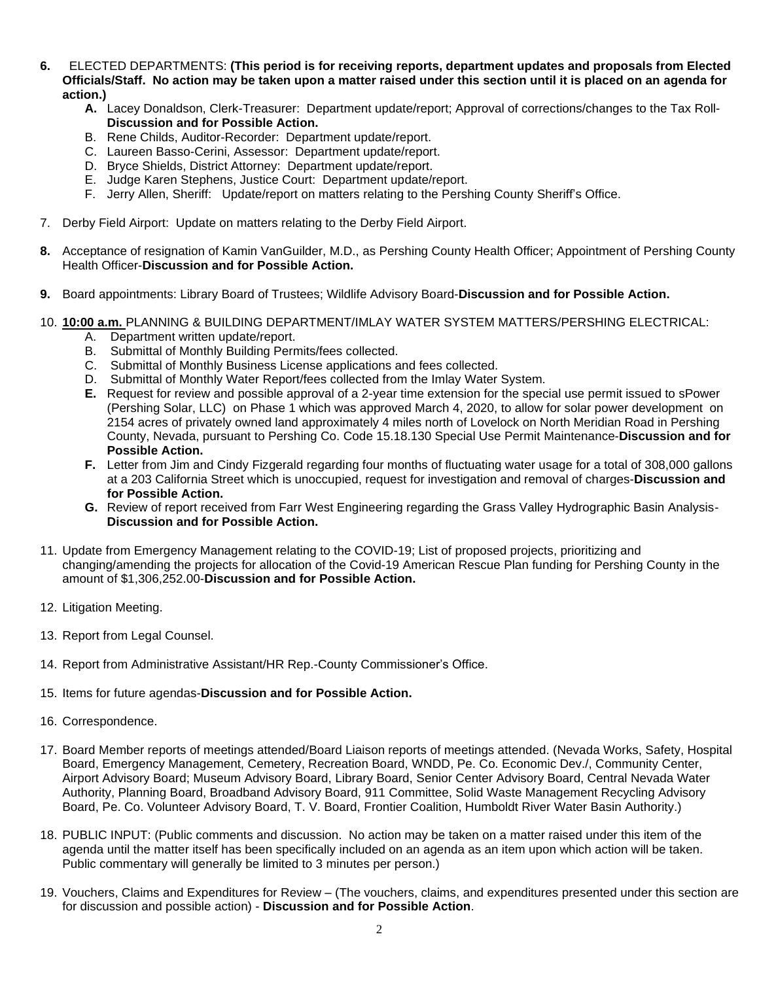- **6.** ELECTED DEPARTMENTS: **(This period is for receiving reports, department updates and proposals from Elected Officials/Staff. No action may be taken upon a matter raised under this section until it is placed on an agenda for action.)**
	- **A.** Lacey Donaldson, Clerk-Treasurer: Department update/report; Approval of corrections/changes to the Tax Roll-**Discussion and for Possible Action.**
	- B. Rene Childs, Auditor-Recorder: Department update/report.
	- C. Laureen Basso-Cerini, Assessor: Department update/report.
	- D. Bryce Shields, District Attorney: Department update/report.
	- E. Judge Karen Stephens, Justice Court: Department update/report.
	- F. Jerry Allen, Sheriff: Update/report on matters relating to the Pershing County Sheriff's Office.
- 7. Derby Field Airport: Update on matters relating to the Derby Field Airport.
- **8.** Acceptance of resignation of Kamin VanGuilder, M.D., as Pershing County Health Officer; Appointment of Pershing County Health Officer-**Discussion and for Possible Action.**
- **9.** Board appointments: Library Board of Trustees; Wildlife Advisory Board-**Discussion and for Possible Action.**
- 10. **10:00 a.m.** PLANNING & BUILDING DEPARTMENT/IMLAY WATER SYSTEM MATTERS/PERSHING ELECTRICAL:
	- A. Department written update/report.
	- B. Submittal of Monthly Building Permits/fees collected.
	- C. Submittal of Monthly Business License applications and fees collected.
	- D. Submittal of Monthly Water Report/fees collected from the Imlay Water System.
	- **E.** Request for review and possible approval of a 2-year time extension for the special use permit issued to sPower (Pershing Solar, LLC) on Phase 1 which was approved March 4, 2020, to allow for solar power development on 2154 acres of privately owned land approximately 4 miles north of Lovelock on North Meridian Road in Pershing County, Nevada, pursuant to Pershing Co. Code 15.18.130 Special Use Permit Maintenance-**Discussion and for Possible Action.**
	- **F.** Letter from Jim and Cindy Fizgerald regarding four months of fluctuating water usage for a total of 308,000 gallons at a 203 California Street which is unoccupied, request for investigation and removal of charges-**Discussion and for Possible Action.**
	- **G.** Review of report received from Farr West Engineering regarding the Grass Valley Hydrographic Basin Analysis-**Discussion and for Possible Action.**
- 11. Update from Emergency Management relating to the COVID-19; List of proposed projects, prioritizing and changing/amending the projects for allocation of the Covid-19 American Rescue Plan funding for Pershing County in the amount of \$1,306,252.00-**Discussion and for Possible Action.**
- 12. Litigation Meeting.
- 13. Report from Legal Counsel.
- 14. Report from Administrative Assistant/HR Rep.-County Commissioner's Office.
- 15. Items for future agendas-**Discussion and for Possible Action.**
- 16. Correspondence.
- 17. Board Member reports of meetings attended/Board Liaison reports of meetings attended. (Nevada Works, Safety, Hospital Board, Emergency Management, Cemetery, Recreation Board, WNDD, Pe. Co. Economic Dev./, Community Center, Airport Advisory Board; Museum Advisory Board, Library Board, Senior Center Advisory Board, Central Nevada Water Authority, Planning Board, Broadband Advisory Board, 911 Committee, Solid Waste Management Recycling Advisory Board, Pe. Co. Volunteer Advisory Board, T. V. Board, Frontier Coalition, Humboldt River Water Basin Authority.)
- 18. PUBLIC INPUT: (Public comments and discussion. No action may be taken on a matter raised under this item of the agenda until the matter itself has been specifically included on an agenda as an item upon which action will be taken. Public commentary will generally be limited to 3 minutes per person.)
- 19. Vouchers, Claims and Expenditures for Review (The vouchers, claims, and expenditures presented under this section are for discussion and possible action) - **Discussion and for Possible Action**.